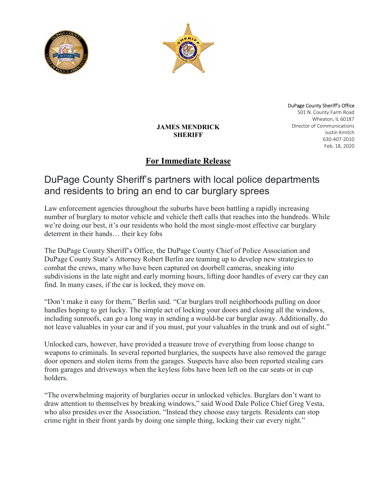



DuPage County Sheriff's Office 501 N. County Farm Road Wheaton, IL 60187 Director of Communications Justin Kmitch 630-407-2010 Feb. 18, 2020

### JAMES MENDRICK **SHERIFF**

## For Immediate Release

# DuPage County Sheriff's partners with local police departments and residents to bring an end to car burglary sprees

Law enforcement agencies throughout the suburbs have been battling a rapidly increasing number of burglary to motor vehicle and vehicle theft calls that reaches into the hundreds. While we're doing our best, it's our residents who hold the most single-most effective car burglary deterrent in their hands… their key fobs

The DuPage County Sheriff's Office, the DuPage County Chief of Police Association and DuPage County State's Attorney Robert Berlin are teaming up to develop new strategies to combat the crews, many who have been captured on doorbell cameras, sneaking into subdivisions in the late night and early morning hours, lifting door handles of every car they can find. In many cases, if the car is locked, they move on.

"Don't make it easy for them," Berlin said. "Car burglars troll neighborhoods pulling on door handles hoping to get lucky. The simple act of locking your doors and closing all the windows, including sunroofs, can go a long way in sending a would-be car burglar away. Additionally, do not leave valuables in your car and if you must, put your valuables in the trunk and out of sight."

Unlocked cars, however, have provided a treasure trove of everything from loose change to weapons to criminals. In several reported burglaries, the suspects have also removed the garage door openers and stolen items from the garages. Suspects have also been reported stealing cars from garages and driveways when the keyless fobs have been left on the car seats or in cup holders.

"The overwhelming majority of burglaries occur in unlocked vehicles. Burglars don't want to draw attention to themselves by breaking windows," said Wood Dale Police Chief Greg Vesta, who also presides over the Association. "Instead they choose easy targets. Residents can stop crime right in their front yards by doing one simple thing, locking their car every night."